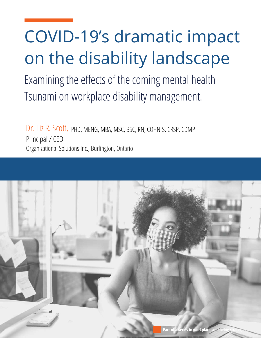# COVID-19's dramatic impact on the disability landscape

Examining the effects of the coming mental health Tsunami on workplace disability management.

Dr. Liz R. Scott, PHD, MENG, MBA, MSC, BSC, RN, COHN-S, CRSP, CDMP Principal / CEO Organizational Solutions Inc., Burlington, Ontario

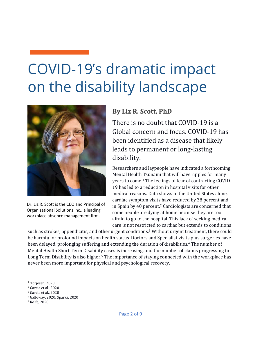# COVID-19's dramatic impact on the disability landscape



Dr. Liz R. Scott is the CEO and Principal of Organizational Solutions Inc., a leading workplace absence management firm.

#### **By Liz R. Scott, PhD**

There is no doubt that COVID-19 is a Global concern and focus. COVID-19 has been identified as a disease that likely leads to permanent or long-lasting disability. 

Researchers and laypeople have indicated a forthcoming Mental Health Tsunami that will have ripples for many years to come.<sup>1</sup> The feelings of fear of contracting COVID-19 has led to a reduction in hospital visits for other medical reasons. Data shows in the United States alone, cardiac symptom visits have reduced by 38 percent and in Spain by 40 percent.<sup>2</sup> Cardiologists are concerned that some people are dying at home because they are too afraid to go to the hospital. This lack of seeking medical care is not restricted to cardiac but extends to conditions

such as strokes, appendicitis, and other urgent conditions.<sup>3</sup> Without urgent treatment, there could be harmful or profound impacts on health status. Doctors and Specialist visits plus surgeries have been delayed, prolonging suffering and extending the duration of disabilities.<sup>4</sup> The number of Mental Health Short Term Disability cases is increasing, and the number of claims progressing to Long Term Disability is also higher.<sup>5</sup> The importance of staying connected with the workplace has never been more important for physical and psychological recovery.

 $1$  Torjesen, 2020

<sup>&</sup>lt;sup>2</sup> Garcia et al., 2020

<sup>&</sup>lt;sup>3</sup> Garcia et al., 2020

<sup>&</sup>lt;sup>4</sup> Galloway, 2020; Sparks, 2020

<sup>&</sup>lt;sup>5</sup> Rolfe, 2020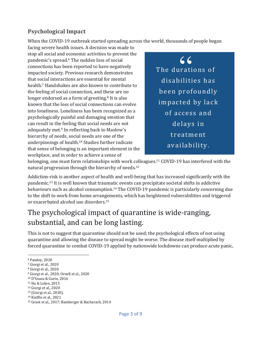#### **Psychological Impact**

When the COVID-19 outbreak started spreading across the world, thousands of people began

facing severe health issues. A decision was made to stop all social and economic activities to prevent the pandemic's spread.<sup>6</sup> The sudden loss of social connections has been reported to have negatively impacted society. Previous research demonstrates that social interactions are essential for mental health.<sup>7</sup> Handshakes are also known to contribute to the feeling of social connection, and these are no longer endorsed as a form of greeting.<sup>8</sup> It is also known that the loss of social connections can evolve into loneliness. Loneliness has been recognized as a psychologically painful and damaging emotion that can result in the feeling that social needs are not adequately met.<sup>9</sup> In reflecting back to Maslow's hierarchy of needs, social needs are one of the underpinnings of health.<sup>10</sup> Studies further indicate that sense of belonging is an important element in the workplace, and in order to achieve a sense of

The durations of disabilities has been profoundly impacted by lack of access and delays in treatment availability.  $66$ 

belonging, one must form relationships with work colleagues.<sup>11</sup> COVID-19 has interfered with the natural progression through the hierarchy of needs.<sup>12</sup>

Addiction-risk is another aspect of health and well-being that has increased significantly with the pandemic.<sup>13</sup> It is well known that traumatic events can precipitate societal shifts in addictive behaviours such as alcohol consumption.<sup>14</sup> The COVID-19 pandemic is particularly concerning due to the shift to work from home arrangements, which has heightened vulnerabilities and triggered or exacerbated alcohol use disorders.<sup>15</sup>

## The psychological impact of quarantine is wide-ranging, substantial, and can be long lasting.

This is not to suggest that quarantine should not be used; the psychological effects of not using quarantine and allowing the disease to spread might be worse. The disease itself multiplied by forced quarantine to combat COVID-19 applied by nationwide lockdowns can produce acute panic,

<sup>&</sup>lt;sup>6</sup> Pandey, 2020

<sup>&</sup>lt;sup>7</sup> Giorgi et al., 2020

<sup>&</sup>lt;sup>8</sup> Giorgi et al., 2020.

<sup>&</sup>lt;sup>9</sup> Giorgi et al., 2020; Ornell et al., 2020

<sup>&</sup>lt;sup>10</sup> D'Souza & Gurin, 2016

<sup>&</sup>lt;sup>11</sup> Hu & Liden, 2015

<sup>12</sup> Giorgi et al., 2020

<sup>13 (</sup>Giorgi et al., 2020).

<sup>&</sup>lt;sup>14</sup> Kniffin et al., 2021

<sup>&</sup>lt;sup>15</sup> Grant et al., 2017; Bamberger & Bacharach, 2014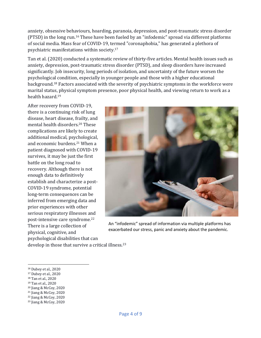anxiety, obsessive behaviours, hoarding, paranoia, depression, and post-traumatic stress disorder (PTSD) in the long run.<sup>16</sup> These have been fueled by an "infodemic" spread via different platforms of social media. Mass fear of COVID-19, termed "coronaphobia," has generated a plethora of psychiatric manifestations within society.<sup>17</sup>

Tan et al. (2020) conducted a systematic review of thirty-five articles. Mental health issues such as anxiety, depression, post-traumatic stress disorder (PTSD), and sleep disorders have increased significantly. Job insecurity, long periods of isolation, and uncertainty of the future worsen the psychological condition, especially in younger people and those with a higher educational background.<sup>18</sup> Factors associated with the severity of psychiatric symptoms in the workforce were marital status, physical symptom presence, poor physical health, and viewing return to work as a health hazard.<sup>19</sup>

After recovery from COVID-19, there is a continuing risk of lung disease, heart disease, frailty, and mental health disorders.<sup>20</sup> These complications are likely to create additional medical, psychological, and economic burdens.<sup>21</sup> When a patient diagnosed with COVID-19 survives, it may be just the first battle on the long road to recovery. Although there is not enough data to definitively establish and characterize a post-COVID-19 syndrome, potential long-term consequences can be inferred from emerging data and prior experiences with other serious respiratory illnesses and post-intensive care syndrome.<sup>22</sup> There is a large collection of physical, cognitive, and psychological disabilities that can



An "infodemic" spread of information via multiple platforms has exacerbated our stress, panic and anxiety about the pandemic.

develop in those that survive a critical illness.<sup>23</sup>

- 19 Tan et al., 2020
- <sup>20</sup> Jiang & McCoy, 2020
- <sup>21</sup> Jiang & McCoy, 2020
- $22$  Jiang & McCoy, 2020

<sup>&</sup>lt;sup>16</sup> Dubey et al., 2020

<sup>&</sup>lt;sup>17</sup> Dubey et al., 2020

<sup>18</sup> Tan et al., 2020

<sup>&</sup>lt;sup>23</sup> Jiang & McCoy, 2020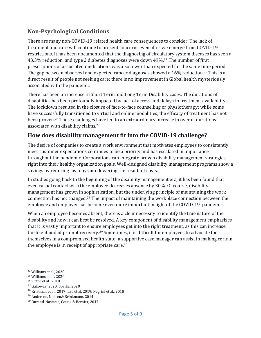#### **Non-Psychological Conditions**

There are many non-COVID-19 related health care consequences to consider. The lack of treatment and care will continue to present concerns even after we emerge from COVID-19 restrictions. It has been documented that the diagnosing of circulatory system diseases has seen a 43.3% reduction, and type 2 diabetes diagnoses were down 49%.<sup>24</sup> The number of first prescriptions of associated medications was also lower than expected for the same time period. The gap between observed and expected cancer diagnoses showed a 16% reduction.<sup>25</sup> This is a direct result of people not seeking care; there is no improvement in Global health mysteriously associated with the pandemic.

There has been an increase in Short Term and Long Term Disability cases. The durations of disabilities has been profoundly impacted by lack of access and delays in treatment availability. The lockdown resulted in the closure of face-to-face counselling or physiotherapy; while some have successfully transitioned to virtual and online modalities, the efficacy of treatment has not been proven.<sup>26</sup> These challenges have led to an extraordinary increase in overall durations associated with disability claims.<sup>27</sup>

#### How does disability management fit into the COVID-19 challenge?

The desire of companies to create a work environment that motivates employees to consistently meet customer expectations continues to be a priority and has escalated in importance throughout the pandemic. Corporations can integrate proven disability management strategies right into their healthy organization goals. Well-designed disability management programs show a savings by reducing lost days and lowering the resultant costs.

In studies going back to the beginning of the disability management era, it has been found that even casual contact with the employee decreases absence by 30%. Of course, disability management has grown in sophistication, but the underlying principle of maintaining the work connection has not changed.<sup>28</sup> The impact of maintaining the workplace connection between the employee and employer has become even more important in light of the COVID-19 pandemic.

When an employee becomes absent, there is a clear necessity to identify the true nature of the disability and how it can best be resolved. A key component of disability management emphasizes that it is vastly important to ensure employees get into the right treatment, as this can increase the likelihood of prompt recovery.<sup>29</sup> Sometimes, it is difficult for employees to advocate for themselves in a compromised health state; a supportive case manager can assist in making certain the employee is in receipt of appropriate care.<sup>30</sup>

<sup>&</sup>lt;sup>24</sup> Williams et al., 2020

<sup>&</sup>lt;sup>25</sup> Williams et al., 2020

<sup>&</sup>lt;sup>26</sup> Victor et al., 2018

<sup>&</sup>lt;sup>27</sup> Galloway, 2020; Sparks, 2020

 $28$  Kristman et al., 2017; Lau et al. 2019; Negrini et al., 2018

<sup>&</sup>lt;sup>29</sup> Andersen, Nielsen& Brinkmann, 2014

<sup>&</sup>lt;sup>30</sup> Durand, Nastasia, Coutu, & Bernier, 2017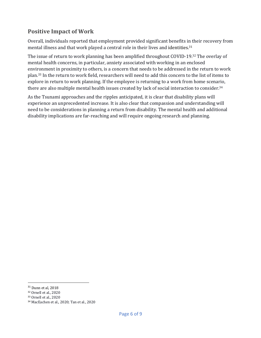#### **Positive Impact of Work**

Overall, individuals reported that employment provided significant benefits in their recovery from mental illness and that work played a central role in their lives and identities.<sup>31</sup>

The issue of return to work planning has been amplified throughout COVID-19.<sup>32</sup> The overlay of mental health concerns, in particular, anxiety associated with working in an enclosed environment in proximity to others, is a concern that needs to be addressed in the return to work plan.<sup>33</sup> In the return to work field, researchers will need to add this concern to the list of items to explore in return to work planning. If the employee is returning to a work from home scenario, there are also multiple mental health issues created by lack of social interaction to consider.<sup>34</sup>

As the Tsunami approaches and the ripples anticipated, it is clear that disability plans will experience an unprecedented increase. It is also clear that compassion and understanding will need to be considerations in planning a return from disability. The mental health and additional disability implications are far-reaching and will require ongoing research and planning.

 $31$  Dunn et al, 2018

<sup>&</sup>lt;sup>32</sup> Ornell et al., 2020

<sup>33</sup> Ornell et al., 2020

<sup>34</sup> MacEachen et al., 2020; Tan et al., 2020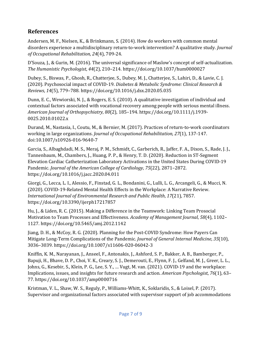#### **References**

Andersen, M. F., Nielsen, K., & Brinkmann, S. (2014). How do workers with common mental disorders experience a multidisciplinary return-to-work intervention? A qualitative study. *Journal of Occupational Rehabilitation, 24*(4), 709-24. 

D'Souza, J., & Gurin, M. (2016). The universal significance of Maslow's concept of self-actualization. *The Humanistic Psychologist*, *44*(2), 210–214. https://doi.org/10.1037/hum0000027

Dubey, S., Biswas, P., Ghosh, R., Chatterjee, S., Dubey, M. J., Chatterjee, S., Lahiri, D., & Lavie, C. J. (2020). Psychosocial impact of COVID-19. *Diabetes & Metabolic Syndrome: Clinical Research & Reviews*, *14*(5), 779–788. https://doi.org/10.1016/j.dsx.2020.05.035

Dunn, E. C., Wewiorski, N. J., & Rogers, E. S. (2010). A qualitative investigation of individual and contextual factors associated with vocational recovery among people with serious mental illness. *American Journal of Orthopsychiatry*, *80*(2), 185–194. https://doi.org/10.1111/j.1939- 0025.2010.01022.x

Durand, M., Nastasia, I., Coutu, M., & Bernier, M. (2017). Practices of return-to-work coordinators working in large organizations. *Journal of Occupational Rehabilitation*, 27(1), 137-147. doi:10.1007/s10926-016-9640-7

Garcia, S., Albaghdadi, M. S., Meraj, P. M., Schmidt, C., Garberich, R., Jaffer, F. A., Dixon, S., Rade, J. J., Tannenbaum, M., Chambers, J., Huang, P. P., & Henry, T. D. (2020). Reduction in ST-Segment Elevation Cardiac Catheterization Laboratory Activations in the United States During COVID-19 Pandemic. *Journal of the American College of Cardiology*, 75(22), 2871–2872. https://doi.org/10.1016/j.jacc.2020.04.011

Giorgi, G., Lecca, L. I., Alessio, F., Finstad, G. L., Bondanini, G., Lulli, L. G., Arcangeli, G., & Mucci, N. (2020). COVID-19-Related Mental Health Effects in the Workplace: A Narrative Review. *International Journal of Environmental Research and Public Health, 17(21), 7857.* https://doi.org/10.3390/ijerph17217857

Hu, J., & Liden, R. C. (2015). Making a Difference in the Teamwork: Linking Team Prosocial Motivation to Team Processes and Effectiveness. *Academy of Management Journal*, 58(4), 1102– 1127. https://doi.org/10.5465/amj.2012.1142

Jiang, D. H., & McCoy, R. G. (2020). Planning for the Post-COVID Syndrome: How Payers Can Mitigate Long-Term Complications of the Pandemic. *Journal of General Internal Medicine*, 35(10), 3036–3039. https://doi.org/10.1007/s11606-020-06042-3

Kniffin, K. M., Narayanan, J., Anseel, F., Antonakis, J., Ashford, S. P., Bakker, A. B., Bamberger, P., Bapuji, H., Bhave, D. P., Choi, V. K., Creary, S. J., Demerouti, E., Flynn, F. J., Gelfand, M. J., Greer, L. L., Johns, G., Kesebir, S., Klein, P. G., Lee, S. Y., ... Vugt, M. van. (2021). COVID-19 and the workplace: Implications, issues, and insights for future research and action. American Psychologist, 76(1), 63-77. https://doi.org/10.1037/amp0000716

Kristman, V. L., Shaw, W. S., Reguly, P., Williams-Whitt, K., Soklaridis, S., & Loisel, P. (2017). Supervisor and organizational factors associated with supervisor support of job accommodations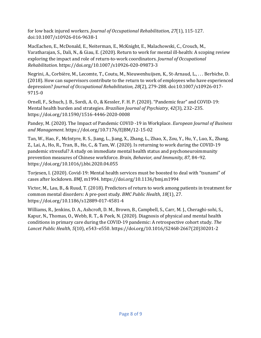for low back injured workers. *Journal of Occupational Rehabilitation*, 27(1), 115-127. doi:10.1007/s10926-016-9638-1

MacEachen, E., McDonald, E., Neiterman, E., McKnight, E., Malachowski, C., Crouch, M., Varatharajan, S., Dali, N., & Giau, E. (2020). Return to work for mental ill-health: A scoping review exploring the impact and role of return-to-work coordinators. *Journal of Occupational Rehabilitation*. https://doi.org/10.1007/s10926-020-09873-3

Negrini, A., Corbière, M., Lecomte, T., Coutu, M., Nieuwenhuijsen, K., St-Arnaud, L., ... Berbiche, D. (2018). How can supervisors contribute to the return to work of employees who have experienced depression? *Journal of Occupational Rehabilitation, 28*(2), 279-288. doi:10.1007/s10926-017-9715-0

Ornell, F., Schuch, J. B., Sordi, A. O., & Kessler, F. H. P. (2020). "Pandemic fear" and COVID-19: Mental health burden and strategies. *Brazilian Journal of Psychiatry*, 42(3), 232–235. https://doi.org/10.1590/1516-4446-2020-0008

Pandey, M. (2020). The Impact of Pandemic COVID -19 in Workplace. *European Journal of Business and Management*. https://doi.org/10.7176/EJBM/12-15-02

Tan, W., Hao, F., McIntyre, R. S., Jiang, L., Jiang, X., Zhang, L., Zhao, X., Zou, Y., Hu, Y., Luo, X., Zhang, Z., Lai, A., Ho, R., Tran, B., Ho, C., & Tam, W. (2020). Is returning to work during the COVID-19 pandemic stressful? A study on immediate mental health status and psychoneuroimmunity prevention measures of Chinese workforce. *Brain, Behavior, and Immunity*, 87, 84-92. https://doi.org/10.1016/j.bbi.2020.04.055

Torjesen, I. (2020). Covid-19: Mental health services must be boosted to deal with "tsunami" of cases after lockdown. *BMJ*, m1994. https://doi.org/10.1136/bmj.m1994

Victor, M., Lau, B., & Ruud, T. (2018). Predictors of return to work among patients in treatment for common mental disorders: A pre-post study. *BMC Public Health*, 18(1), 27. https://doi.org/10.1186/s12889-017-4581-4

Williams, R., Jenkins, D. A., Ashcroft, D. M., Brown, B., Campbell, S., Carr, M. J., Cheraghi-sohi, S., Kapur, N., Thomas, O., Webb, R. T., & Peek, N. (2020). Diagnosis of physical and mental health conditions in primary care during the COVID-19 pandemic: A retrospective cohort study. The Lancet Public Health, 5(10), e543-e550. https://doi.org/10.1016/S2468-2667(20)30201-2